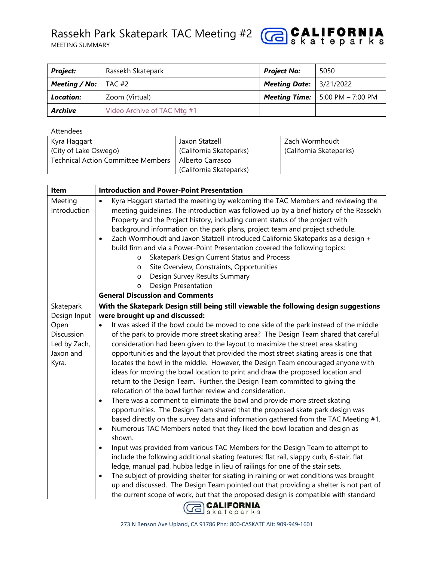

| <b>Project:</b>                     | Rassekh Skatepark           | <b>Project No:</b>                 | 5050                                       |
|-------------------------------------|-----------------------------|------------------------------------|--------------------------------------------|
| <b>Meeting / No:</b> $\vert$ TAC #2 |                             | <b>Meeting Date:</b>   $3/21/2022$ |                                            |
| Location:                           | Zoom (Virtual)              |                                    | <b>Meeting Time:</b>   5:00 PM $-$ 7:00 PM |
| Archive                             | Video Archive of TAC Mtg #1 |                                    |                                            |

Attendees

| Kyra Haggart                              | Jaxon Statzell                              | Zach Wormhoudt          |
|-------------------------------------------|---------------------------------------------|-------------------------|
| (City of Lake Oswego)                     | (California Skateparks)                     | (California Skateparks) |
| <b>Technical Action Committee Members</b> | Alberto Carrasco<br>(California Skateparks) |                         |

| <b>Item</b>                                                                           | <b>Introduction and Power-Point Presentation</b>                                                                                                                                                                                                                                                                                                                                                                                                                                                                                                                                                                                                                                                                                                                                                                                                                                                                                                                                                                                                                                                                                                                          |  |  |  |
|---------------------------------------------------------------------------------------|---------------------------------------------------------------------------------------------------------------------------------------------------------------------------------------------------------------------------------------------------------------------------------------------------------------------------------------------------------------------------------------------------------------------------------------------------------------------------------------------------------------------------------------------------------------------------------------------------------------------------------------------------------------------------------------------------------------------------------------------------------------------------------------------------------------------------------------------------------------------------------------------------------------------------------------------------------------------------------------------------------------------------------------------------------------------------------------------------------------------------------------------------------------------------|--|--|--|
| Meeting<br>Introduction                                                               | Kyra Haggart started the meeting by welcoming the TAC Members and reviewing the<br>$\bullet$<br>meeting guidelines. The introduction was followed up by a brief history of the Rassekh<br>Property and the Project history, including current status of the project with<br>background information on the park plans, project team and project schedule.<br>Zach Wormhoudt and Jaxon Statzell introduced California Skateparks as a design +<br>$\bullet$<br>build firm and via a Power-Point Presentation covered the following topics:<br>Skatepark Design Current Status and Process<br>$\circ$<br>Site Overview; Constraints, Opportunities<br>$\circ$<br>Design Survey Results Summary<br>$\circ$<br>Design Presentation<br>$\circ$                                                                                                                                                                                                                                                                                                                                                                                                                                  |  |  |  |
|                                                                                       | <b>General Discussion and Comments</b>                                                                                                                                                                                                                                                                                                                                                                                                                                                                                                                                                                                                                                                                                                                                                                                                                                                                                                                                                                                                                                                                                                                                    |  |  |  |
| Skatepark<br>Design Input<br>Open<br>Discussion<br>Led by Zach,<br>Jaxon and<br>Kyra. | With the Skatepark Design still being still viewable the following design suggestions<br>were brought up and discussed:<br>It was asked if the bowl could be moved to one side of the park instead of the middle<br>of the park to provide more street skating area? The Design Team shared that careful<br>consideration had been given to the layout to maximize the street area skating<br>opportunities and the layout that provided the most street skating areas is one that<br>locates the bowl in the middle. However, the Design Team encouraged anyone with<br>ideas for moving the bowl location to print and draw the proposed location and<br>return to the Design Team. Further, the Design Team committed to giving the<br>relocation of the bowl further review and consideration.<br>There was a comment to eliminate the bowl and provide more street skating<br>$\bullet$<br>opportunities. The Design Team shared that the proposed skate park design was<br>based directly on the survey data and information gathered from the TAC Meeting #1.<br>Numerous TAC Members noted that they liked the bowl location and design as<br>$\bullet$<br>shown. |  |  |  |
|                                                                                       | Input was provided from various TAC Members for the Design Team to attempt to<br>$\bullet$<br>include the following additional skating features: flat rail, slappy curb, 6-stair, flat<br>ledge, manual pad, hubba ledge in lieu of railings for one of the stair sets.<br>The subject of providing shelter for skating in raining or wet conditions was brought<br>up and discussed. The Design Team pointed out that providing a shelter is not part of<br>the current scope of work, but that the proposed design is compatible with standard                                                                                                                                                                                                                                                                                                                                                                                                                                                                                                                                                                                                                          |  |  |  |

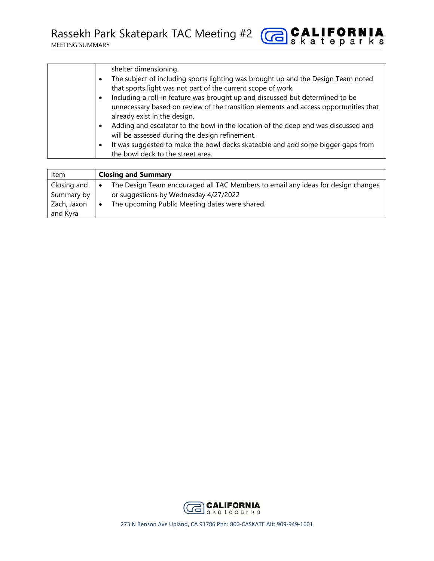Rassekh Park Skatepark TAC Meeting #2

| shelter dimensioning.<br>The subject of including sports lighting was brought up and the Design Team noted<br>that sports light was not part of the current scope of work.<br>Including a roll-in feature was brought up and discussed but determined to be<br>$\bullet$ |
|--------------------------------------------------------------------------------------------------------------------------------------------------------------------------------------------------------------------------------------------------------------------------|
| unnecessary based on review of the transition elements and access opportunities that<br>already exist in the design.                                                                                                                                                     |
|                                                                                                                                                                                                                                                                          |
| Adding and escalator to the bowl in the location of the deep end was discussed and<br>$\bullet$<br>will be assessed during the design refinement.                                                                                                                        |
| It was suggested to make the bowl decks skateable and add some bigger gaps from<br>$\bullet$                                                                                                                                                                             |
| the bowl deck to the street area.                                                                                                                                                                                                                                        |

**GB** SALIFORNIA

| Item        | <b>Closing and Summary</b>                                                                    |  |  |
|-------------|-----------------------------------------------------------------------------------------------|--|--|
| Closing and | The Design Team encouraged all TAC Members to email any ideas for design changes<br>$\bullet$ |  |  |
| Summary by  | or suggestions by Wednesday 4/27/2022                                                         |  |  |
| Zach, Jaxon | The upcoming Public Meeting dates were shared.<br>$\bullet$                                   |  |  |
| and Kyra    |                                                                                               |  |  |



273 N Benson Ave Upland, CA 91786 Phn: 800‐CASKATE Alt: 909‐949‐1601